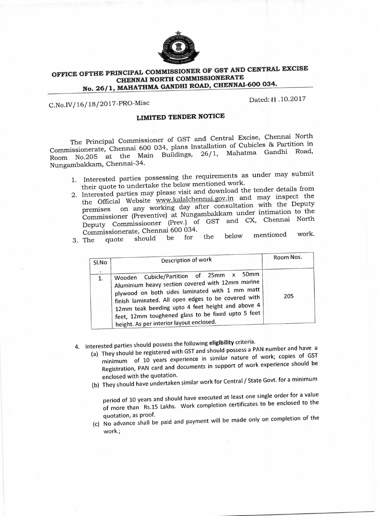

## **OFFICE OFTHE PRINCIPAL COMMISSIONER OF GST AND CENTRAL EXCISE CHENNAI NORTH COMMISSIONERATE No. 26/1, MAHATHMA GANDHI ROAD, CHENNAI-600 034.**

C.No.IV/16/18/2017-PRO-Misc

Dated: 11 .10.2017

## **LIMITED TENDER NOTICE**

The Principal Commissioner of GST and Central Excise, Chennai North Commissionerate, Chennai 600 034, plans Installation of Cubicles & Partition in<br>Ream No.205, at the Main Buildings. 26/1. Mahatma Gandhi Road, Room No.205 at the Main Buildings, Nungambakkam, Chennai-34.

- 1. Interested parties possessing the requirements as under may submit their quote to undertake the below mentioned work.
- 2. Interested parties may please visit and download the tender details from the Official Website www.kalalchennai.gov.in and may inspect the premises on any working day after consultation with the Deputy Commissioner (Preventive) at Nungambakkam under intimation to the Deputy Commissiooner (Prey.) of GST and CX, Chennai North
- Commissionerate, Chennai 600 034. 3. The quote should be for the below mentioned work.

| SI.No | Description of work                                                                                                                                                                                                                                                                                                                                        | Room Nos. |
|-------|------------------------------------------------------------------------------------------------------------------------------------------------------------------------------------------------------------------------------------------------------------------------------------------------------------------------------------------------------------|-----------|
|       | Wooden Cubicle/Partition of 25mm x 50mm<br>Aluminium heavy section covered with 12mm marine<br>plywood on both sides laminated with 1 mm matt<br>finish laminated. All open edges to be covered with<br>12mm teak beeding upto 4 feet height and above 4<br>feet, 12mm toughened glass to be fixed upto 5 feet<br>height. As per interior layout enclosed. | 205       |

4. Interested parties should possess the following **eligibility** criteria.

- (a) They should be registered with GST and should possess a PAN number and have a minimum of 10 years experience in similar nature of work; copies of GST Registration, PAN card and documents in support of work experience should be enclosed with the quotation.
- (b) They should have undertaken similar work for Central / State Govt. for a minimum

period of 10 years and should have executed at least one single order for a value of more than Rs.15 Lakhs. Work completion certificates to be enclosed to the quotation, as proof.

(c) No advance shall be paid and payment will be made only on completion of the work.;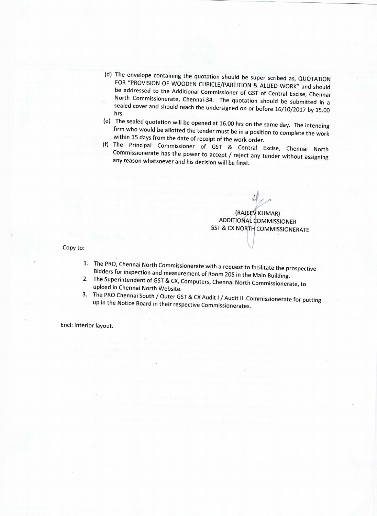- (d) The envelope containing the quotation should be super scribed as, QUOTATION FOR "PROVISION OF WOODEN CUBICLE/PARTITION & ALLIED WORK" and should be addressed to the Additional Commissioner of GST of Central Excise, Chennai North Commissionerate, Chennai-34. The quotation should be submitted in a sealed cover and should reach the undersigned on or before 16/10/2017 by 15.00 hrs.
- (e) The sealed quotation will be opened at 16.00 hrs on the same day. The intending firm who would be allotted the tender must be in a position to complete the work within 15 days from the date of receipt of the work order.
- (f) The Principal Commissioner of GST & Central Excise, Chennai North Commissionerate has the power to accept / reject any tender without assigning any reason whatsoever and his decision will be final.

(RAJEEV KUMAR) ADDITIONAL COMMISSIONER GST & CX NORTH COMMISSIONERATE

Copy to:

- 1. The PRO, Chennai North Commissionerate with a request to facilitate the prospective Bidders for inspection and measurement of Room 205 in the Main Building.
- 2. The Superintendent of GST & CX, Computers, Chennai North Commissionerate, to upload in Chennai North Website.
- 3. The PRO Chennai South / Outer GST & CX Audit I / Audit II Commissionerate for putting up in the Notice Board in their respective Commissionerates.

Encl: Interior layout.